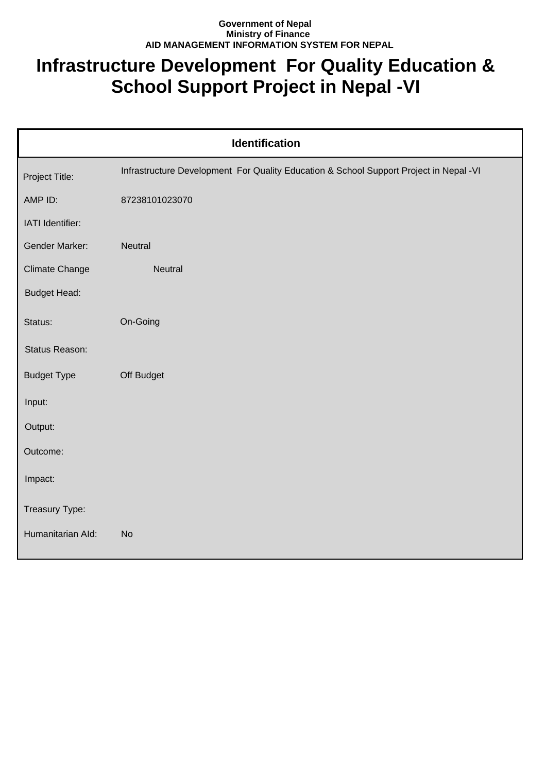## **Government of Nepal Ministry of Finance AID MANAGEMENT INFORMATION SYSTEM FOR NEPAL**

## **Infrastructure Development For Quality Education & School Support Project in Nepal -VI**

| <b>Identification</b> |                                                                                        |  |
|-----------------------|----------------------------------------------------------------------------------------|--|
| Project Title:        | Infrastructure Development For Quality Education & School Support Project in Nepal -VI |  |
| AMP ID:               | 87238101023070                                                                         |  |
| IATI Identifier:      |                                                                                        |  |
| Gender Marker:        | Neutral                                                                                |  |
| Climate Change        | Neutral                                                                                |  |
| <b>Budget Head:</b>   |                                                                                        |  |
| Status:               | On-Going                                                                               |  |
| Status Reason:        |                                                                                        |  |
| <b>Budget Type</b>    | Off Budget                                                                             |  |
| Input:                |                                                                                        |  |
| Output:               |                                                                                        |  |
| Outcome:              |                                                                                        |  |
| Impact:               |                                                                                        |  |
| Treasury Type:        |                                                                                        |  |
| Humanitarian Ald:     | <b>No</b>                                                                              |  |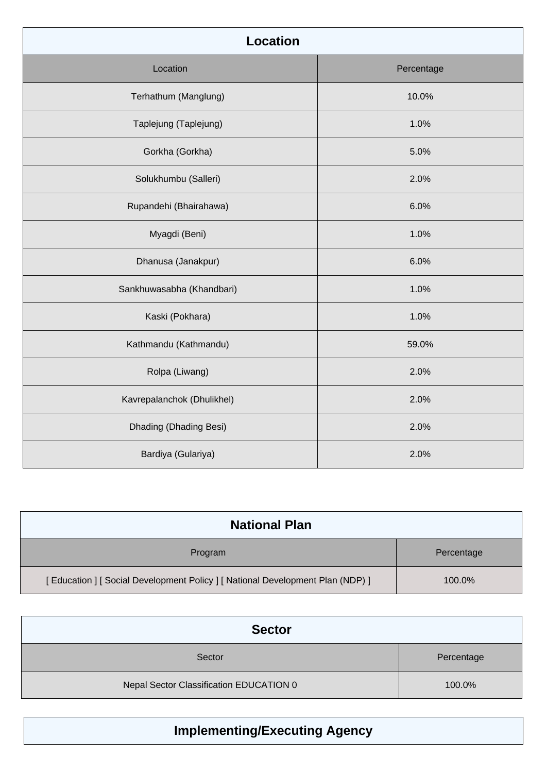| <b>Location</b>            |            |
|----------------------------|------------|
| Location                   | Percentage |
| Terhathum (Manglung)       | 10.0%      |
| Taplejung (Taplejung)      | 1.0%       |
| Gorkha (Gorkha)            | 5.0%       |
| Solukhumbu (Salleri)       | 2.0%       |
| Rupandehi (Bhairahawa)     | 6.0%       |
| Myagdi (Beni)              | 1.0%       |
| Dhanusa (Janakpur)         | 6.0%       |
| Sankhuwasabha (Khandbari)  | 1.0%       |
| Kaski (Pokhara)            | 1.0%       |
| Kathmandu (Kathmandu)      | 59.0%      |
| Rolpa (Liwang)             | 2.0%       |
| Kavrepalanchok (Dhulikhel) | 2.0%       |
| Dhading (Dhading Besi)     | 2.0%       |
| Bardiya (Gulariya)         | 2.0%       |

| <b>National Plan</b>                                                         |            |
|------------------------------------------------------------------------------|------------|
| Program                                                                      | Percentage |
| [Education ] [Social Development Policy ] [National Development Plan (NDP) ] | 100.0%     |

| <b>Sector</b>                           |            |
|-----------------------------------------|------------|
| Sector                                  | Percentage |
| Nepal Sector Classification EDUCATION 0 | 100.0%     |

## **Implementing/Executing Agency**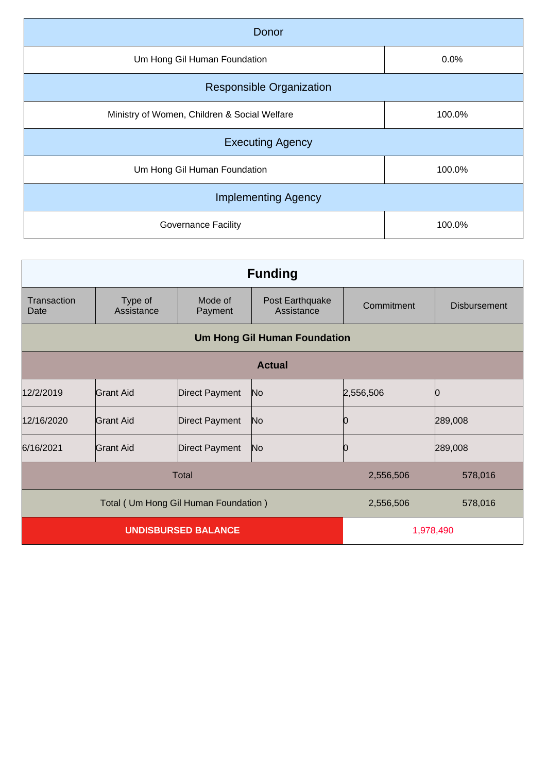| Donor                                        |        |  |
|----------------------------------------------|--------|--|
| Um Hong Gil Human Foundation                 | 0.0%   |  |
| <b>Responsible Organization</b>              |        |  |
| Ministry of Women, Children & Social Welfare | 100.0% |  |
| <b>Executing Agency</b>                      |        |  |
| Um Hong Gil Human Foundation                 | 100.0% |  |
| <b>Implementing Agency</b>                   |        |  |
| <b>Governance Facility</b>                   | 100.0% |  |
|                                              |        |  |

| <b>Funding</b>                       |                       |                       |                               |            |                     |
|--------------------------------------|-----------------------|-----------------------|-------------------------------|------------|---------------------|
| Transaction<br>Date                  | Type of<br>Assistance | Mode of<br>Payment    | Post Earthquake<br>Assistance | Commitment | <b>Disbursement</b> |
| <b>Um Hong Gil Human Foundation</b>  |                       |                       |                               |            |                     |
| <b>Actual</b>                        |                       |                       |                               |            |                     |
| 12/2/2019                            | <b>Grant Aid</b>      | Direct Payment        | N <sub>o</sub>                | 2,556,506  | Ŋ                   |
| 12/16/2020                           | Grant Aid             | <b>Direct Payment</b> | N <sub>o</sub>                | Ŋ          | 289,008             |
| 6/16/2021                            | Grant Aid             | Direct Payment        | N <sub>o</sub>                | Ю          | 289,008             |
| Total                                |                       |                       | 2,556,506                     | 578,016    |                     |
| Total (Um Hong Gil Human Foundation) |                       |                       | 2,556,506                     | 578,016    |                     |
| <b>UNDISBURSED BALANCE</b>           |                       |                       | 1,978,490                     |            |                     |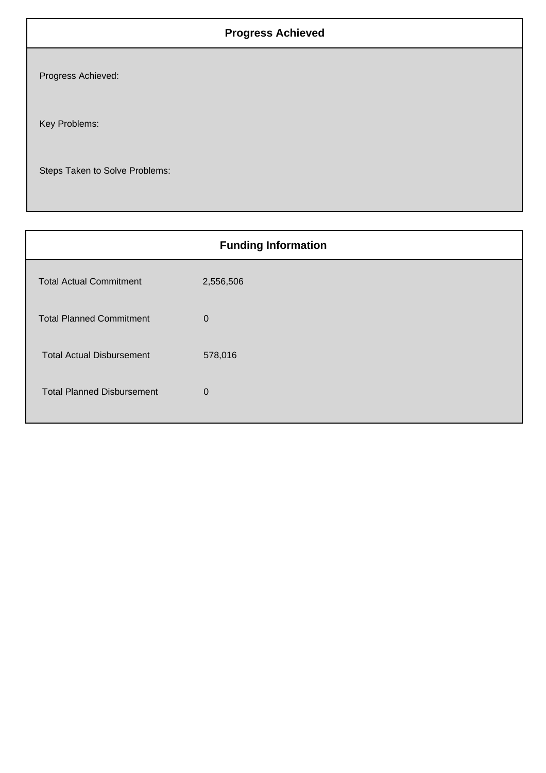## **Progress Achieved**

Progress Achieved:

Key Problems:

Steps Taken to Solve Problems:

| <b>Funding Information</b>        |             |  |
|-----------------------------------|-------------|--|
| <b>Total Actual Commitment</b>    | 2,556,506   |  |
| <b>Total Planned Commitment</b>   | $\mathbf 0$ |  |
| <b>Total Actual Disbursement</b>  | 578,016     |  |
| <b>Total Planned Disbursement</b> | $\mathbf 0$ |  |
|                                   |             |  |